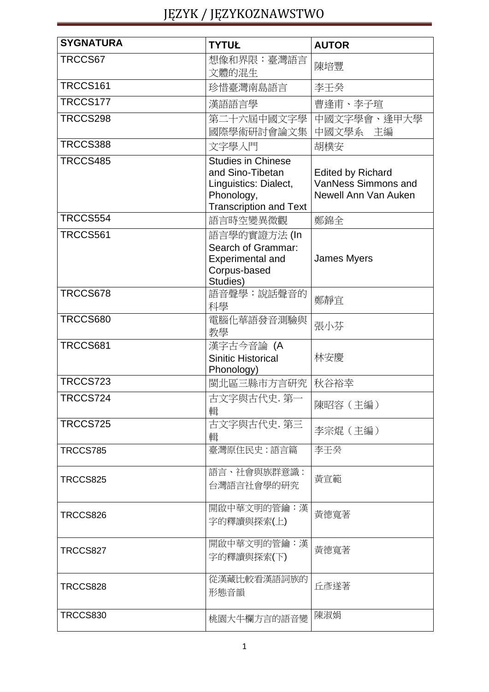| <b>SYGNATURA</b> | <b>TYTUŁ</b>                                                                                                          | <b>AUTOR</b>                                                            |
|------------------|-----------------------------------------------------------------------------------------------------------------------|-------------------------------------------------------------------------|
| TRCCS67          | 想像和界限:臺灣語言<br>文體的混生                                                                                                   | 陳培豐                                                                     |
| TRCCS161         | 珍惜臺灣南島語言                                                                                                              | 李壬癸                                                                     |
| TRCCS177         | 漢語語言學                                                                                                                 | 曹逢甫、李子瑄                                                                 |
| TRCCS298         | 第二十六屆中國文字學<br>國際學術研討會論文集                                                                                              | 中國文字學會、逢甲大學<br>中國文學系 主編                                                 |
| <b>TRCCS388</b>  | 文字學入門                                                                                                                 | 胡樸安                                                                     |
| TRCCS485         | <b>Studies in Chinese</b><br>and Sino-Tibetan<br>Linguistics: Dialect,<br>Phonology,<br><b>Transcription and Text</b> | <b>Edited by Richard</b><br>VanNess Simmons and<br>Newell Ann Van Auken |
| TRCCS554         | 語言時空變異微觀                                                                                                              | 鄭錦全                                                                     |
| TRCCS561         | 語言學的實證方法 (In<br>Search of Grammar:<br><b>Experimental and</b><br>Corpus-based<br>Studies)                             | <b>James Myers</b>                                                      |
| TRCCS678         | 語音聲學:說話聲音的<br>科學                                                                                                      | 鄭靜宜                                                                     |
| TRCCS680         | 電腦化華語發音測驗與<br>教學                                                                                                      | 張小芬                                                                     |
| TRCCS681         | 漢字古今音論 (A<br><b>Sinitic Historical</b><br>Phonology)                                                                  | 林安慶                                                                     |
| <b>TRCCS723</b>  | 閩北區三縣市方言研究   秋谷裕幸                                                                                                     |                                                                         |
| TRCCS724         | 古文字與古代史. 第一<br>輯                                                                                                      | 陳昭容 (主編)                                                                |
| TRCCS725         | 古文字與古代史. 第三<br>輯                                                                                                      | 李宗焜(主編)                                                                 |
| <b>TRCCS785</b>  | 臺灣原住民史:語言篇                                                                                                            | 李壬癸                                                                     |
| TRCCS825         | 語言、社會與族群意識:<br>台灣語言社會學的研究                                                                                             | 黃宣範                                                                     |
| TRCCS826         | 開啟中華文明的管鑰:漢<br>字的釋讀與探索(上)                                                                                             | 黃德寬著                                                                    |
| TRCCS827         | 開啟中華文明的管鑰:漢<br>字的釋讀與探索(下)                                                                                             | 黃德寬著                                                                    |
| TRCCS828         | 從漢藏比較看漢語詞族的<br>形態音韻                                                                                                   | 丘彥遂著                                                                    |
| <b>TRCCS830</b>  | 桃園大牛欄方言的語音變                                                                                                           | 陳淑娟                                                                     |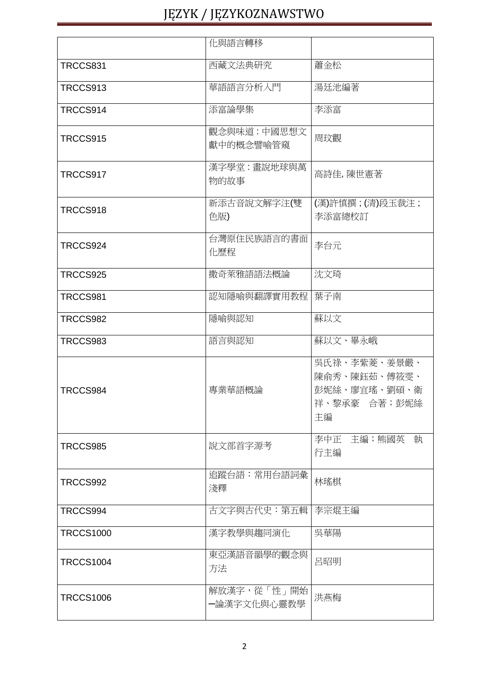|                  | 化與語言轉移                     |                                                                    |
|------------------|----------------------------|--------------------------------------------------------------------|
| TRCCS831         | 西藏文法典研究                    | 蕭金松                                                                |
| TRCCS913         | 華語語言分析入門                   | 湯廷池編著                                                              |
| TRCCS914         | 添富論學集                      | 李添富                                                                |
| TRCCS915         | 觀念與味道:中國思想文<br>獻中的概念譬喻管窺   | 周玟觀                                                                |
| TRCCS917         | 漢字學堂:畫說地球與萬<br>物的故事        | 高詩佳,陳世憲著                                                           |
| TRCCS918         | 新添古音說文解字注(雙<br>色版)         | (漢)許慎撰;(清)段玉裁注;<br>李添富總校訂                                          |
| TRCCS924         | 台灣原住民族語言的書面<br>化歷程         | 李台元                                                                |
| TRCCS925         | 撒奇萊雅語語法概論                  | 沈文琦                                                                |
| TRCCS981         | 認知隱喻與翻譯實用教程                | 葉子南                                                                |
| TRCCS982         | 隱喻與認知                      | 蘇以文                                                                |
| TRCCS983         | 語言與認知                      | 蘇以文、畢永峨                                                            |
| TRCCS984         | 專業華語概論                     | 吳氏祿、李紫菱、姜景嚴、<br>陳俞秀、陳鈺茹、傅筱雯、<br>彭妮絲、廖宜瑤、劉碩、衛<br>祥、黎承豪 合著;彭妮絲<br>主編 |
| TRCCS985         | 說文部首字源考                    | 李中正 主編;熊國英 執<br>行主編                                                |
| TRCCS992         | 追蹤台語:常用台語詞彙<br>淺釋          | 林瑤棋                                                                |
| TRCCS994         | 古文字與古代史:第五輯                | 李宗焜主編                                                              |
| <b>TRCCS1000</b> | 漢字教學與趨同演化                  | 吳華陽                                                                |
| <b>TRCCS1004</b> | 東亞漢語音韻學的觀念與<br>方法          | 呂昭明                                                                |
| <b>TRCCS1006</b> | 解放漢字,從「性」開始<br>一論漢字文化與心靈教學 | 洪燕梅                                                                |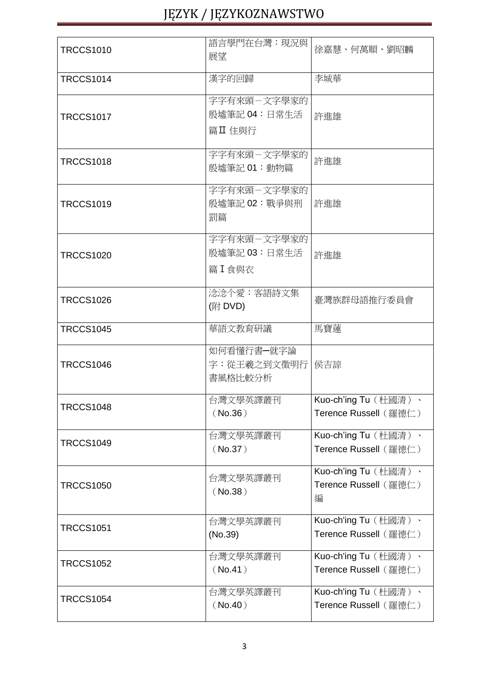| <b>TRCCS1010</b> | 語言學門在台灣:現況與<br>展望                          | 徐嘉慧、何萬順、劉昭麟                                        |
|------------------|--------------------------------------------|----------------------------------------------------|
| <b>TRCCS1014</b> | 漢字的回歸                                      | 李城華                                                |
| <b>TRCCS1017</b> | 字字有來頭-文字學家的<br>殷墟筆記 04:日常生活<br>篇Ⅱ 住與行      | 許進雄                                                |
| <b>TRCCS1018</b> | 字字有來頭-文字學家的<br>殷墟筆記 01:動物篇                 | 許進雄                                                |
| <b>TRCCS1019</b> | 字字有來頭-文字學家的<br>殷墟筆記 02:戰爭與刑<br>罰篇          | 許進雄                                                |
| <b>TRCCS1020</b> | 字字有來頭-文字學家的<br>殷墟筆記 03:日常生活<br>篇 I 食與衣     | 許進雄                                                |
| <b>TRCCS1026</b> | 淰淰个愛:客語詩文集<br>(附 DVD)                      | 臺灣族群母語推行委員會                                        |
| <b>TRCCS1045</b> | 華語文教育研議                                    | 馬寶蓮                                                |
| <b>TRCCS1046</b> | 如何看懂行書一就字論<br>字:從王羲之到文徵明行   侯吉諒<br>書風格比較分析 |                                                    |
| <b>TRCCS1048</b> | 台灣文學英譯叢刊<br>(No.36)                        | Kuo-ch'ing Tu (杜國清)、<br>Terence Russell (羅德仁)      |
| <b>TRCCS1049</b> | 台灣文學英譯叢刊<br>(No.37)                        | Kuo-ch'ing Tu (杜國清)、<br>Terence Russell (羅德仁)      |
| <b>TRCCS1050</b> | 台灣文學英譯叢刊<br>(No.38)                        | Kuo-ch'ing Tu (杜國清)、<br>Terence Russell (羅德仁)<br>編 |
| <b>TRCCS1051</b> | 台灣文學英譯叢刊<br>(No.39)                        | Kuo-ch'ing Tu (杜國清)、<br>Terence Russell (羅德仁)      |
| <b>TRCCS1052</b> | 台灣文學英譯叢刊<br>(No.41)                        | Kuo-ch'ing Tu (杜國清)、<br>Terence Russell (羅德仁)      |
| <b>TRCCS1054</b> | 台灣文學英譯叢刊<br>(No.40)                        | Kuo-ch'ing Tu (杜國清)、<br>Terence Russell (羅德仁)      |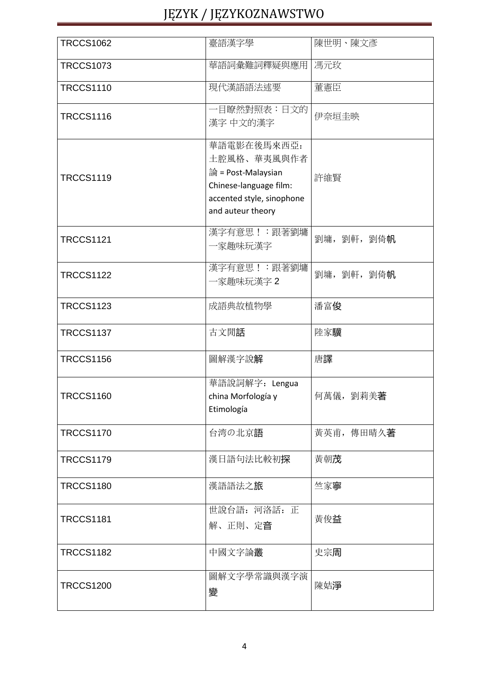| <b>TRCCS1062</b> | 臺語漢字學                                                                                                                        | 陳世明、陳文彥          |
|------------------|------------------------------------------------------------------------------------------------------------------------------|------------------|
| <b>TRCCS1073</b> | 華語詞彙難詞釋疑與應用                                                                                                                  | 馮元玫              |
| <b>TRCCS1110</b> | 現代漢語語法述要                                                                                                                     | 董憲臣              |
| <b>TRCCS1116</b> | 一目瞭然對照表:日文的<br>漢字 中文的漢字                                                                                                      | 伊奈垣圭映            |
| <b>TRCCS1119</b> | 華語電影在後馬來西亞:<br>土腔風格、華夷風與作者<br>論 = Post-Malaysian<br>Chinese-language film:<br>accented style, sinophone<br>and auteur theory | 許維賢              |
| <b>TRCCS1121</b> | 漢字有意思!: 跟著劉墉<br>一家趣味玩漢字                                                                                                      | 劉墉, 劉軒, 劉倚帆      |
| <b>TRCCS1122</b> | 漢字有意思!: 跟著劉墉<br>-家趣味玩漢字 2                                                                                                    | 劉墉, 劉軒, 劉倚帆      |
| <b>TRCCS1123</b> | 成語典故植物學                                                                                                                      | 潘富俊              |
| <b>TRCCS1137</b> | 古文閒話                                                                                                                         | 陸家驥              |
| <b>TRCCS1156</b> | 圖解漢字說解                                                                                                                       | 唐譯               |
| <b>TRCCS1160</b> | 華語說詞解字: Lengua<br>china Morfología y<br>Etimología                                                                           | 何萬儀,劉莉美 <b>著</b> |
| <b>TRCCS1170</b> | 台湾の北京語                                                                                                                       | 黃英甫, 傳田晴久著       |
| <b>TRCCS1179</b> | 漢日語句法比較初探                                                                                                                    | 黃朝茂              |
| <b>TRCCS1180</b> | 漢語語法之旅                                                                                                                       | 竺家寧              |
| <b>TRCCS1181</b> | 世說台語: 河洛話: 正<br>解、正則、定音                                                                                                      | 黃俊益              |
| <b>TRCCS1182</b> | 中國文字論叢                                                                                                                       | 史宗周              |
| <b>TRCCS1200</b> | 圖解文字學常識與漢字演<br>變                                                                                                             | 陳姞淨              |